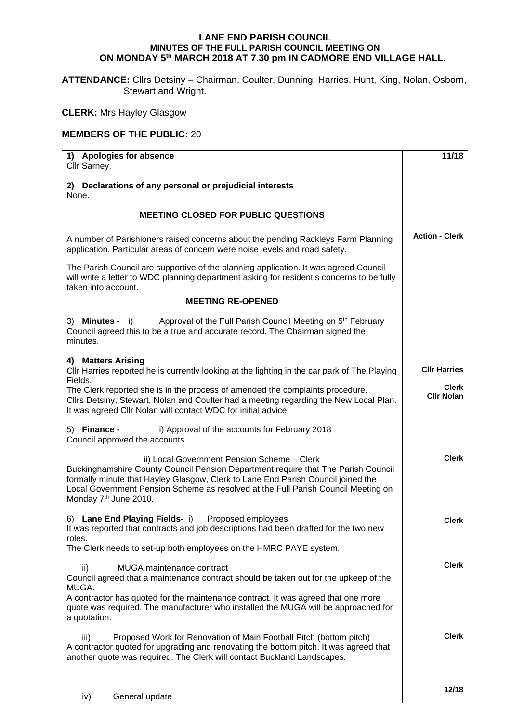## **LANE END PARISH COUNCIL MINUTES OF THE FULL PARISH COUNCIL MEETING ON ON MONDAY 5th MARCH 2018 AT 7.30 pm IN CADMORE END VILLAGE HALL.**

**ATTENDANCE:** Cllrs Detsiny – Chairman, Coulter, Dunning, Harries, Hunt, King, Nolan, Osborn, Stewart and Wright.

**CLERK:** Mrs Hayley Glasgow

## **MEMBERS OF THE PUBLIC:** 20

| 1) Apologies for absence<br>Cllr Sarney.                                                                                                                                                                                                                                                                                                       | 11/18                             |
|------------------------------------------------------------------------------------------------------------------------------------------------------------------------------------------------------------------------------------------------------------------------------------------------------------------------------------------------|-----------------------------------|
| 2) Declarations of any personal or prejudicial interests<br>None.                                                                                                                                                                                                                                                                              |                                   |
| <b>MEETING CLOSED FOR PUBLIC QUESTIONS</b>                                                                                                                                                                                                                                                                                                     |                                   |
| A number of Parishioners raised concerns about the pending Rackleys Farm Planning<br>application. Particular areas of concern were noise levels and road safety.                                                                                                                                                                               | <b>Action - Clerk</b>             |
| The Parish Council are supportive of the planning application. It was agreed Council<br>will write a letter to WDC planning department asking for resident's concerns to be fully<br>taken into account.                                                                                                                                       |                                   |
| <b>MEETING RE-OPENED</b>                                                                                                                                                                                                                                                                                                                       |                                   |
| 3) Minutes - i)<br>Approval of the Full Parish Council Meeting on 5 <sup>th</sup> February<br>Council agreed this to be a true and accurate record. The Chairman signed the<br>minutes.                                                                                                                                                        |                                   |
| 4) Matters Arising<br>CIIr Harries reported he is currently looking at the lighting in the car park of The Playing                                                                                                                                                                                                                             | <b>Cllr Harries</b>               |
| Fields.<br>The Clerk reported she is in the process of amended the complaints procedure.<br>Cllrs Detsiny, Stewart, Nolan and Coulter had a meeting regarding the New Local Plan.<br>It was agreed Cllr Nolan will contact WDC for initial advice.                                                                                             | <b>Clerk</b><br><b>Cllr Nolan</b> |
| 5) Finance -<br>i) Approval of the accounts for February 2018<br>Council approved the accounts.                                                                                                                                                                                                                                                |                                   |
| ii) Local Government Pension Scheme - Clerk<br>Buckinghamshire County Council Pension Department require that The Parish Council<br>formally minute that Hayley Glasgow, Clerk to Lane End Parish Council joined the<br>Local Government Pension Scheme as resolved at the Full Parish Council Meeting on<br>Monday 7 <sup>th</sup> June 2010. | <b>Clerk</b>                      |
| 6) Lane End Playing Fields- i) Proposed employees<br>It was reported that contracts and job descriptions had been drafted for the two new<br>roles.                                                                                                                                                                                            | <b>Clerk</b>                      |
| The Clerk needs to set-up both employees on the HMRC PAYE system.                                                                                                                                                                                                                                                                              |                                   |
| MUGA maintenance contract<br>ii)<br>Council agreed that a maintenance contract should be taken out for the upkeep of the<br>MUGA.                                                                                                                                                                                                              | <b>Clerk</b>                      |
| A contractor has quoted for the maintenance contract. It was agreed that one more<br>quote was required. The manufacturer who installed the MUGA will be approached for<br>a quotation.                                                                                                                                                        |                                   |
| Proposed Work for Renovation of Main Football Pitch (bottom pitch)<br>iii)<br>A contractor quoted for upgrading and renovating the bottom pitch. It was agreed that<br>another quote was required. The Clerk will contact Buckland Landscapes.                                                                                                 | <b>Clerk</b>                      |
| General update<br>iv)                                                                                                                                                                                                                                                                                                                          | 12/18                             |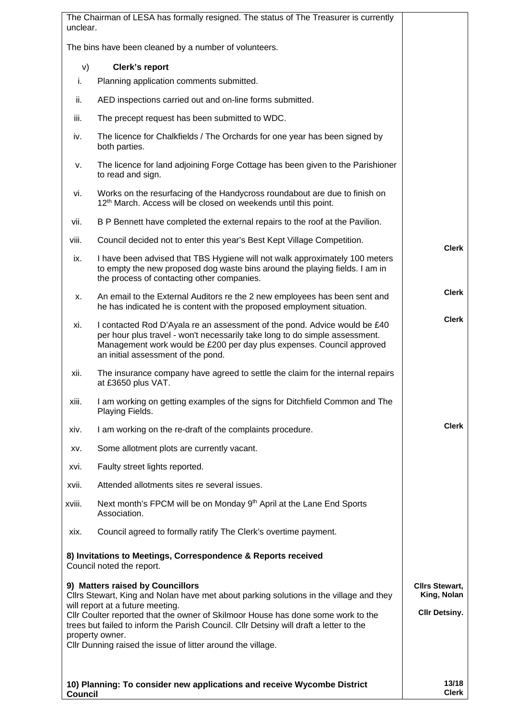| unclear.       | The Chairman of LESA has formally resigned. The status of The Treasurer is currently                                                                                                                                                                                                                                                                                                                                           |                                                              |
|----------------|--------------------------------------------------------------------------------------------------------------------------------------------------------------------------------------------------------------------------------------------------------------------------------------------------------------------------------------------------------------------------------------------------------------------------------|--------------------------------------------------------------|
|                | The bins have been cleaned by a number of volunteers.                                                                                                                                                                                                                                                                                                                                                                          |                                                              |
| V)             | <b>Clerk's report</b>                                                                                                                                                                                                                                                                                                                                                                                                          |                                                              |
| i.             | Planning application comments submitted.                                                                                                                                                                                                                                                                                                                                                                                       |                                                              |
| ii.            | AED inspections carried out and on-line forms submitted.                                                                                                                                                                                                                                                                                                                                                                       |                                                              |
| iii.           | The precept request has been submitted to WDC.                                                                                                                                                                                                                                                                                                                                                                                 |                                                              |
| iv.            | The licence for Chalkfields / The Orchards for one year has been signed by<br>both parties.                                                                                                                                                                                                                                                                                                                                    |                                                              |
| ν.             | The licence for land adjoining Forge Cottage has been given to the Parishioner<br>to read and sign.                                                                                                                                                                                                                                                                                                                            |                                                              |
| vi.            | Works on the resurfacing of the Handycross roundabout are due to finish on<br>12 <sup>th</sup> March. Access will be closed on weekends until this point.                                                                                                                                                                                                                                                                      |                                                              |
| vii.           | B P Bennett have completed the external repairs to the roof at the Pavilion.                                                                                                                                                                                                                                                                                                                                                   |                                                              |
| viii.          | Council decided not to enter this year's Best Kept Village Competition.                                                                                                                                                                                                                                                                                                                                                        | <b>Clerk</b>                                                 |
| ix.            | I have been advised that TBS Hygiene will not walk approximately 100 meters<br>to empty the new proposed dog waste bins around the playing fields. I am in<br>the process of contacting other companies.                                                                                                                                                                                                                       |                                                              |
| х.             | An email to the External Auditors re the 2 new employees has been sent and<br>he has indicated he is content with the proposed employment situation.                                                                                                                                                                                                                                                                           | <b>Clerk</b>                                                 |
| xi.            | I contacted Rod D'Ayala re an assessment of the pond. Advice would be £40<br>per hour plus travel - won't necessarily take long to do simple assessment.<br>Management work would be £200 per day plus expenses. Council approved<br>an initial assessment of the pond.                                                                                                                                                        | <b>Clerk</b>                                                 |
| xii.           | The insurance company have agreed to settle the claim for the internal repairs<br>at £3650 plus VAT.                                                                                                                                                                                                                                                                                                                           |                                                              |
| xiii.          | I am working on getting examples of the signs for Ditchfield Common and The<br>Playing Fields.                                                                                                                                                                                                                                                                                                                                 |                                                              |
| xiv.           | I am working on the re-draft of the complaints procedure.                                                                                                                                                                                                                                                                                                                                                                      | <b>Clerk</b>                                                 |
| XV.            | Some allotment plots are currently vacant.                                                                                                                                                                                                                                                                                                                                                                                     |                                                              |
| XVİ.           | Faulty street lights reported.                                                                                                                                                                                                                                                                                                                                                                                                 |                                                              |
| xvii.          | Attended allotments sites re several issues.                                                                                                                                                                                                                                                                                                                                                                                   |                                                              |
| xviii.         | Next month's FPCM will be on Monday 9 <sup>th</sup> April at the Lane End Sports<br>Association.                                                                                                                                                                                                                                                                                                                               |                                                              |
| xix.           | Council agreed to formally ratify The Clerk's overtime payment.                                                                                                                                                                                                                                                                                                                                                                |                                                              |
|                | 8) Invitations to Meetings, Correspondence & Reports received<br>Council noted the report.                                                                                                                                                                                                                                                                                                                                     |                                                              |
|                | 9) Matters raised by Councillors<br>Cllrs Stewart, King and Nolan have met about parking solutions in the village and they<br>will report at a future meeting.<br>Cllr Coulter reported that the owner of Skilmoor House has done some work to the<br>trees but failed to inform the Parish Council. Cllr Detsiny will draft a letter to the<br>property owner.<br>Cllr Dunning raised the issue of litter around the village. | <b>Cllrs Stewart,</b><br>King, Nolan<br><b>Cllr Detsiny.</b> |
| <b>Council</b> | 10) Planning: To consider new applications and receive Wycombe District                                                                                                                                                                                                                                                                                                                                                        | 13/18<br><b>Clerk</b>                                        |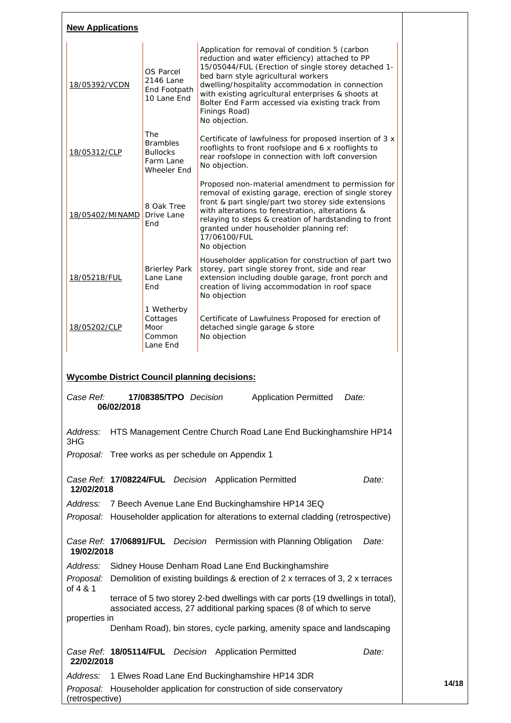| <b>New Applications</b>                                                                                                                                             |                                                                       |                                                                                                                                                                                                                                                                                                                                                                                                |  |  |  |  |  |
|---------------------------------------------------------------------------------------------------------------------------------------------------------------------|-----------------------------------------------------------------------|------------------------------------------------------------------------------------------------------------------------------------------------------------------------------------------------------------------------------------------------------------------------------------------------------------------------------------------------------------------------------------------------|--|--|--|--|--|
| 18/05392/VCDN                                                                                                                                                       | OS Parcel<br>2146 Lane<br>End Footpath<br>10 Lane End                 | Application for removal of condition 5 (carbon<br>reduction and water efficiency) attached to PP<br>15/05044/FUL (Erection of single storey detached 1-<br>bed barn style agricultural workers<br>dwelling/hospitality accommodation in connection<br>with existing agricultural enterprises & shoots at<br>Bolter End Farm accessed via existing track from<br>Finings Road)<br>No objection. |  |  |  |  |  |
| 18/05312/CLP                                                                                                                                                        | The<br><b>Brambles</b><br><b>Bullocks</b><br>Farm Lane<br>Wheeler End | Certificate of lawfulness for proposed insertion of 3 x<br>rooflights to front roofslope and 6 x rooflights to<br>rear roofslope in connection with loft conversion<br>No objection.                                                                                                                                                                                                           |  |  |  |  |  |
| 18/05402/MINAMD                                                                                                                                                     | 8 Oak Tree<br>Drive Lane<br>End                                       | Proposed non-material amendment to permission for<br>removal of existing garage, erection of single storey<br>front & part single/part two storey side extensions<br>with alterations to fenestration, alterations &<br>relaying to steps & creation of hardstanding to front<br>granted under householder planning ref:<br>17/06100/FUL<br>No objection                                       |  |  |  |  |  |
| 18/05218/FUL                                                                                                                                                        | <b>Brierley Park</b><br>Lane Lane<br>End                              | Householder application for construction of part two<br>storey, part single storey front, side and rear<br>extension including double garage, front porch and<br>creation of living accommodation in roof space<br>No objection                                                                                                                                                                |  |  |  |  |  |
| 1 Wetherby<br>Cottages<br>18/05202/CLP<br>Moor<br>Common<br>Lane End                                                                                                |                                                                       | Certificate of Lawfulness Proposed for erection of<br>detached single garage & store<br>No objection                                                                                                                                                                                                                                                                                           |  |  |  |  |  |
| <b>Wycombe District Council planning decisions:</b>                                                                                                                 |                                                                       |                                                                                                                                                                                                                                                                                                                                                                                                |  |  |  |  |  |
| Case Ref:<br>06/02/2018                                                                                                                                             | 17/08385/TPO Decision                                                 | <b>Application Permitted</b><br>Date:                                                                                                                                                                                                                                                                                                                                                          |  |  |  |  |  |
| Address:<br>3HG                                                                                                                                                     |                                                                       | HTS Management Centre Church Road Lane End Buckinghamshire HP14                                                                                                                                                                                                                                                                                                                                |  |  |  |  |  |
|                                                                                                                                                                     |                                                                       | Proposal: Tree works as per schedule on Appendix 1                                                                                                                                                                                                                                                                                                                                             |  |  |  |  |  |
| 12/02/2018                                                                                                                                                          |                                                                       | Case Ref: 17/08224/FUL Decision Application Permitted<br>Date:                                                                                                                                                                                                                                                                                                                                 |  |  |  |  |  |
| Address:                                                                                                                                                            |                                                                       | 7 Beech Avenue Lane End Buckinghamshire HP14 3EQ                                                                                                                                                                                                                                                                                                                                               |  |  |  |  |  |
|                                                                                                                                                                     |                                                                       | Proposal: Householder application for alterations to external cladding (retrospective)                                                                                                                                                                                                                                                                                                         |  |  |  |  |  |
| 19/02/2018                                                                                                                                                          |                                                                       | Case Ref: 17/06891/FUL Decision Permission with Planning Obligation<br>Date:                                                                                                                                                                                                                                                                                                                   |  |  |  |  |  |
| Address:<br>Sidney House Denham Road Lane End Buckinghamshire<br>Demolition of existing buildings & erection of 2 x terraces of 3, 2 x terraces<br>Proposal:        |                                                                       |                                                                                                                                                                                                                                                                                                                                                                                                |  |  |  |  |  |
| of 4 & 1<br>terrace of 5 two storey 2-bed dwellings with car ports (19 dwellings in total),<br>associated access, 27 additional parking spaces (8 of which to serve |                                                                       |                                                                                                                                                                                                                                                                                                                                                                                                |  |  |  |  |  |
| properties in                                                                                                                                                       |                                                                       | Denham Road), bin stores, cycle parking, amenity space and landscaping                                                                                                                                                                                                                                                                                                                         |  |  |  |  |  |
| 22/02/2018                                                                                                                                                          |                                                                       | Case Ref: 18/05114/FUL Decision Application Permitted<br>Date:                                                                                                                                                                                                                                                                                                                                 |  |  |  |  |  |
| Address:                                                                                                                                                            |                                                                       | 1 Elwes Road Lane End Buckinghamshire HP14 3DR                                                                                                                                                                                                                                                                                                                                                 |  |  |  |  |  |
| (retrospective)                                                                                                                                                     |                                                                       | Proposal: Householder application for construction of side conservatory                                                                                                                                                                                                                                                                                                                        |  |  |  |  |  |

**14/18**